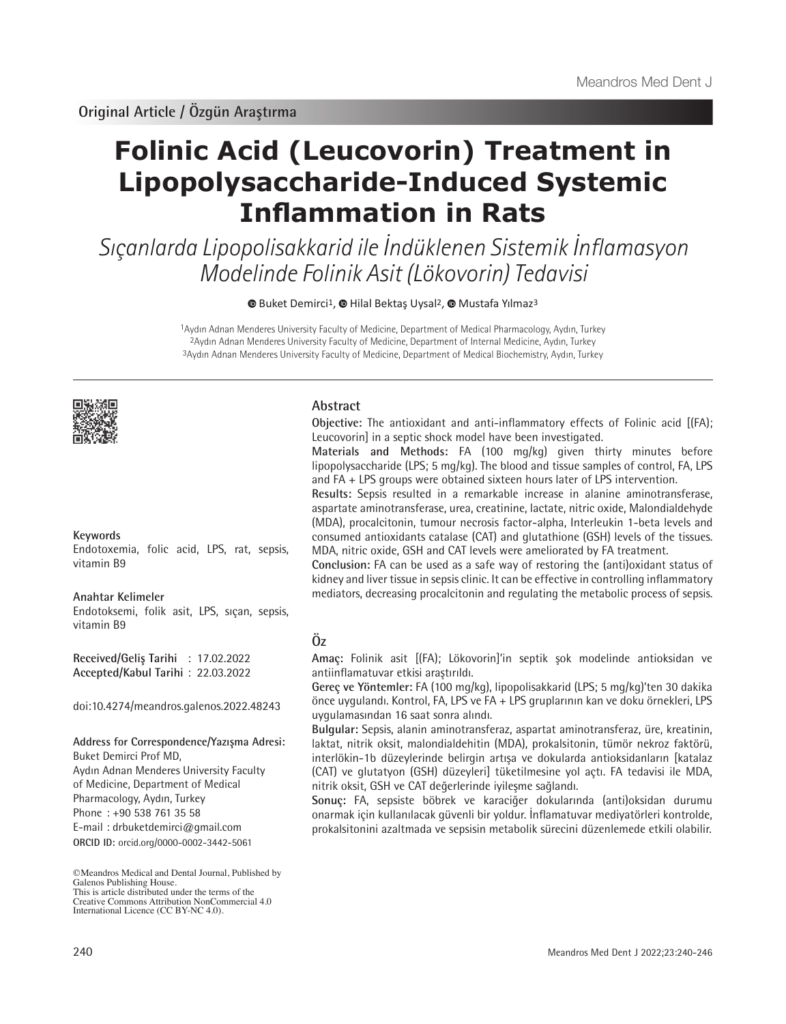# **Folinic Acid (Leucovorin) Treatment in Lipopolysaccharide-Induced Systemic Inflammation in Rats**

Sıçanlarda Lipopolisakkarid ile İndüklenen Sistemik İnflamasyon Modelinde Folinik Asit (Lökovorin) Tedavisi

**BuketDemirci<sup>1</sup>, @ [H](https://orcid.org/0000-0002-4361-7954)ilal Bektas Uysal<sup>2</sup>, @ Mustafa Yılmaz<sup>3</sup>** 

1Aydın Adnan Menderes University Faculty of Medicine, Department of Medical Pharmacology, Aydın, Turkey 2Aydın Adnan Menderes University Faculty of Medicine, Department of Internal Medicine, Aydın, Turkey 3Aydın Adnan Menderes University Faculty of Medicine, Department of Medical Biochemistry, Aydın, Turkey



## **Keywords**

Endotoxemia, folic acid, LPS, rat, sepsis, vitamin B9

#### **Anahtar Kelimeler**

Endotoksemi, folik asit, LPS, sıçan, sepsis, vitamin B9

**Received/Geliş Tarihi** : 17.02.2022 **Accepted/Kabul Tarihi** : 22.03.2022

doi:10.4274/meandros.galenos.2022.48243

#### **Address for Correspondence/Yazışma Adresi:**

**ORCID ID:** orcid.org/0000-0002-3442-5061 Buket Demirci Prof MD, Aydın Adnan Menderes University Faculty of Medicine, Department of Medical Pharmacology, Aydın, Turkey Phone : +90 538 761 35 58 E-mail : drbuketdemirci@gmail.com

Creative Commons Attribution NonCommercial 4.0 International Licence (CC BY-NC 4.0).

## **Abstract**

**Objective:** The antioxidant and anti-inflammatory effects of Folinic acid [(FA); Leucovorin] in a septic shock model have been investigated.

**Materials and Methods:** FA (100 mg/kg) given thirty minutes before lipopolysaccharide (LPS; 5 mg/kg). The blood and tissue samples of control, FA, LPS and FA + LPS groups were obtained sixteen hours later of LPS intervention.

**Results:** Sepsis resulted in a remarkable increase in alanine aminotransferase, aspartate aminotransferase, urea, creatinine, lactate, nitric oxide, Malondialdehyde (MDA), procalcitonin, tumour necrosis factor-alpha, Interleukin 1-beta levels and consumed antioxidants catalase (CAT) and glutathione (GSH) levels of the tissues. MDA, nitric oxide, GSH and CAT levels were ameliorated by FA treatment.

**Conclusion:** FA can be used as a safe way of restoring the (anti)oxidant status of kidney and liver tissue in sepsis clinic. It can be effective in controlling inflammatory mediators, decreasing procalcitonin and regulating the metabolic process of sepsis.

# **Öz**

**Amaç:** Folinik asit [(FA); Lökovorin]'in septik şok modelinde antioksidan ve antiinflamatuvar etkisi araştırıldı.

**Gereç ve Yöntemler:** FA (100 mg/kg), lipopolisakkarid (LPS; 5 mg/kg)'ten 30 dakika önce uygulandı. Kontrol, FA, LPS ve FA + LPS gruplarının kan ve doku örnekleri, LPS uygulamasından 16 saat sonra alındı.

**Bulgular:** Sepsis, alanin aminotransferaz, aspartat aminotransferaz, üre, kreatinin, laktat, nitrik oksit, malondialdehitin (MDA), prokalsitonin, tümör nekroz faktörü, interlökin-1b düzeylerinde belirgin artışa ve dokularda antioksidanların [katalaz (CAT) ve glutatyon (GSH) düzeyleri] tüketilmesine yol açtı. FA tedavisi ile MDA, nitrik oksit, GSH ve CAT değerlerinde iyileşme sağlandı.

**Sonuç:** FA, sepsiste böbrek ve karaciğer dokularında (anti)oksidan durumu onarmak için kullanılacak güvenli bir yoldur. İnflamatuvar mediyatörleri kontrolde, prokalsitonini azaltmada ve sepsisin metabolik sürecini düzenlemede etkili olabilir.

<sup>©</sup>Meandros Medical and Dental Journal, Published by Galenos Publishing House. This is article distributed under the terms of the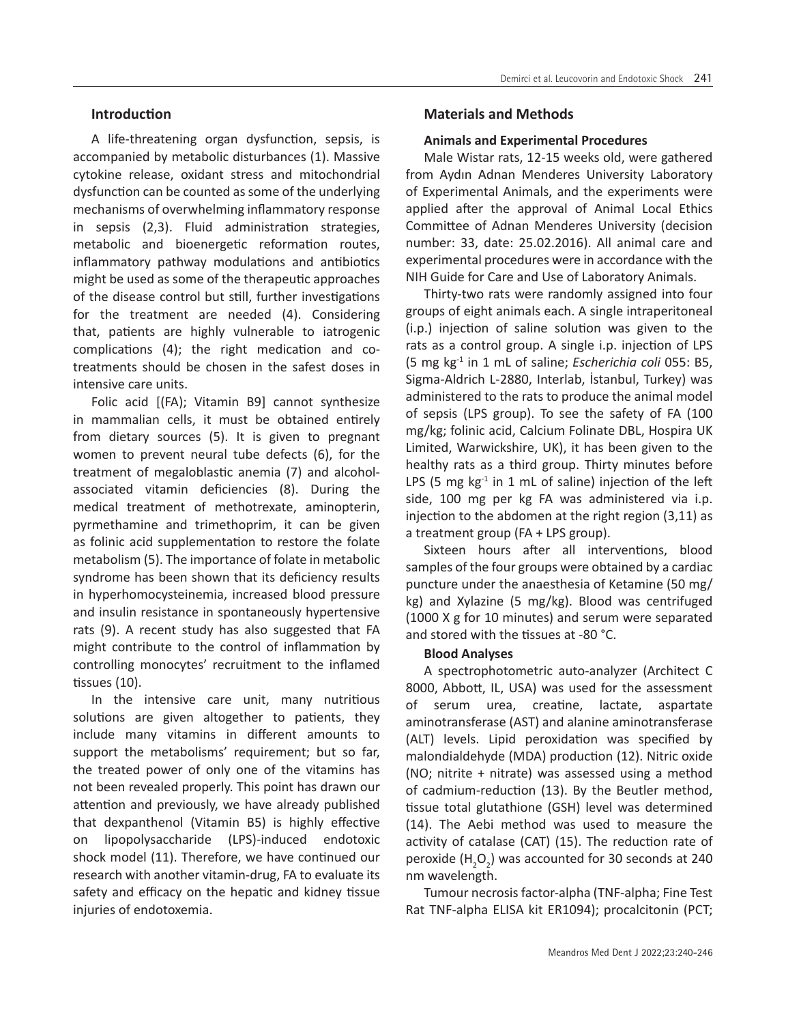A life-threatening organ dysfunction, sepsis, is accompanied by metabolic disturbances (1). Massive cytokine release, oxidant stress and mitochondrial dysfunction can be counted as some of the underlying mechanisms of overwhelming inflammatory response in sepsis (2,3). Fluid administration strategies, metabolic and bioenergetic reformation routes, inflammatory pathway modulations and antibiotics might be used as some of the therapeutic approaches of the disease control but still, further investigations for the treatment are needed (4). Considering that, patients are highly vulnerable to iatrogenic complications (4); the right medication and cotreatments should be chosen in the safest doses in intensive care units.

Folic acid [(FA); Vitamin B9] cannot synthesize in mammalian cells, it must be obtained entirely from dietary sources (5). It is given to pregnant women to prevent neural tube defects (6), for the treatment of megaloblastic anemia (7) and alcoholassociated vitamin deficiencies (8). During the medical treatment of methotrexate, aminopterin, pyrmethamine and trimethoprim, it can be given as folinic acid supplementation to restore the folate metabolism (5). The importance of folate in metabolic syndrome has been shown that its deficiency results in hyperhomocysteinemia, increased blood pressure and insulin resistance in spontaneously hypertensive rats (9). A recent study has also suggested that FA might contribute to the control of inflammation by controlling monocytes' recruitment to the inflamed tissues (10).

In the intensive care unit, many nutritious solutions are given altogether to patients, they include many vitamins in different amounts to support the metabolisms' requirement; but so far, the treated power of only one of the vitamins has not been revealed properly. This point has drawn our attention and previously, we have already published that dexpanthenol (Vitamin B5) is highly effective on lipopolysaccharide (LPS)-induced endotoxic shock model (11). Therefore, we have continued our research with another vitamin-drug, FA to evaluate its safety and efficacy on the hepatic and kidney tissue injuries of endotoxemia.

# **Materials and Methods**

# **Animals and Experimental Procedures**

Male Wistar rats, 12-15 weeks old, were gathered from Aydın Adnan Menderes University Laboratory of Experimental Animals, and the experiments were applied after the approval of Animal Local Ethics Committee of Adnan Menderes University (decision number: 33, date: 25.02.2016). All animal care and experimental procedures were in accordance with the NIH Guide for Care and Use of Laboratory Animals.

Thirty-two rats were randomly assigned into four groups of eight animals each. A single intraperitoneal (i.p.) injection of saline solution was given to the rats as a control group. A single i.p. injection of LPS (5 mg kg-1 in 1 mL of saline; *Escherichia coli* 055: B5, Sigma-Aldrich L-2880, Interlab, İstanbul, Turkey) was administered to the rats to produce the animal model of sepsis (LPS group). To see the safety of FA (100 mg/kg; folinic acid, Calcium Folinate DBL, Hospira UK Limited, Warwickshire, UK), it has been given to the healthy rats as a third group. Thirty minutes before LPS (5 mg  $kg<sup>-1</sup>$  in 1 mL of saline) injection of the left side, 100 mg per kg FA was administered via i.p. injection to the abdomen at the right region (3,11) as a treatment group (FA + LPS group).

Sixteen hours after all interventions, blood samples of the four groups were obtained by a cardiac puncture under the anaesthesia of Ketamine (50 mg/ kg) and Xylazine (5 mg/kg). Blood was centrifuged (1000 X g for 10 minutes) and serum were separated and stored with the tissues at -80 °C.

# **Blood Analyses**

A spectrophotometric auto-analyzer (Architect C 8000, Abbott, IL, USA) was used for the assessment of serum urea, creatine, lactate, aspartate aminotransferase (AST) and alanine aminotransferase (ALT) levels. Lipid peroxidation was specified by malondialdehyde (MDA) production (12). Nitric oxide (NO; nitrite + nitrate) was assessed using a method of cadmium-reduction (13). By the Beutler method, tissue total glutathione (GSH) level was determined (14). The Aebi method was used to measure the activity of catalase (CAT) (15). The reduction rate of peroxide  $(H_2O_2)$  was accounted for 30 seconds at 240 nm wavelength.

Tumour necrosis factor-alpha (TNF-alpha; Fine Test Rat TNF-alpha ELISA kit ER1094); procalcitonin (PCT;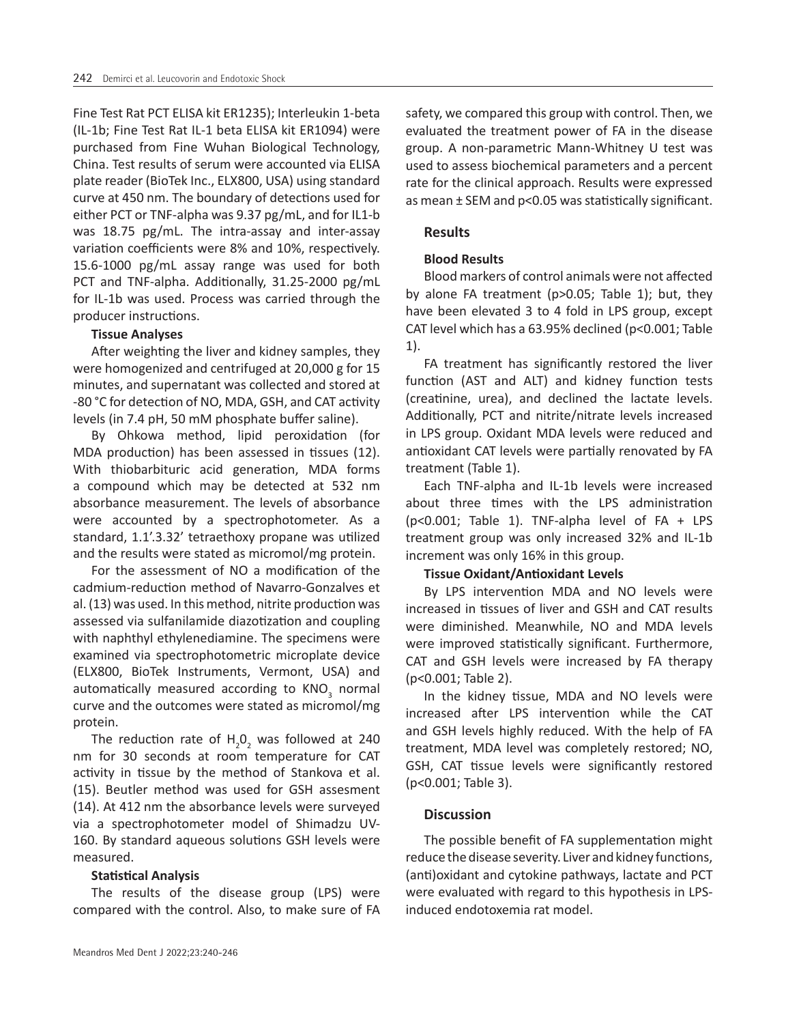Fine Test Rat PCT ELISA kit ER1235); Interleukin 1-beta (IL-1b; Fine Test Rat IL-1 beta ELISA kit ER1094) were purchased from Fine Wuhan Biological Technology, China. Test results of serum were accounted via ELISA plate reader (BioTek Inc., ELX800, USA) using standard curve at 450 nm. The boundary of detections used for either PCT or TNF-alpha was 9.37 pg/mL, and for IL1-b was 18.75 pg/mL. The intra-assay and inter-assay variation coefficients were 8% and 10%, respectively. 15.6-1000 pg/mL assay range was used for both PCT and TNF-alpha. Additionally, 31.25-2000 pg/mL for IL-1b was used. Process was carried through the producer instructions.

## **Tissue Analyses**

After weighting the liver and kidney samples, they were homogenized and centrifuged at 20,000 g for 15 minutes, and supernatant was collected and stored at -80 °C for detection of NO, MDA, GSH, and CAT activity levels (in 7.4 pH, 50 mM phosphate buffer saline).

By Ohkowa method, lipid peroxidation (for MDA production) has been assessed in tissues (12). With thiobarbituric acid generation, MDA forms a compound which may be detected at 532 nm absorbance measurement. The levels of absorbance were accounted by a spectrophotometer. As a standard, 1.1'.3.32' tetraethoxy propane was utilized and the results were stated as micromol/mg protein.

For the assessment of NO a modification of the cadmium-reduction method of Navarro-Gonzalves et al. (13) was used. In this method, nitrite production was assessed via sulfanilamide diazotization and coupling with naphthyl ethylenediamine. The specimens were examined via spectrophotometric microplate device (ELX800, BioTek Instruments, Vermont, USA) and automatically measured according to  $KNO<sub>3</sub>$  normal curve and the outcomes were stated as micromol/mg protein.

The reduction rate of  $H_2O_2$  was followed at 240 nm for 30 seconds at room temperature for CAT activity in tissue by the method of Stankova et al. (15). Beutler method was used for GSH assesment (14). At 412 nm the absorbance levels were surveyed via a spectrophotometer model of Shimadzu UV-160. By standard aqueous solutions GSH levels were measured.

## **Statistical Analysis**

The results of the disease group (LPS) were compared with the control. Also, to make sure of FA safety, we compared this group with control. Then, we evaluated the treatment power of FA in the disease group. A non-parametric Mann-Whitney U test was used to assess biochemical parameters and a percent rate for the clinical approach. Results were expressed as mean ± SEM and p<0.05 was statistically significant.

# **Results**

## **Blood Results**

Blood markers of control animals were not affected by alone FA treatment (p>0.05; Table 1); but, they have been elevated 3 to 4 fold in LPS group, except CAT level which has a 63.95% declined (p<0.001; Table 1).

FA treatment has significantly restored the liver function (AST and ALT) and kidney function tests (creatinine, urea), and declined the lactate levels. Additionally, PCT and nitrite/nitrate levels increased in LPS group. Oxidant MDA levels were reduced and antioxidant CAT levels were partially renovated by FA treatment (Table 1).

Each TNF-alpha and IL-1b levels were increased about three times with the LPS administration (p<0.001; Table 1). TNF-alpha level of FA + LPS treatment group was only increased 32% and IL-1b increment was only 16% in this group.

## **Tissue Oxidant/Antioxidant Levels**

By LPS intervention MDA and NO levels were increased in tissues of liver and GSH and CAT results were diminished. Meanwhile, NO and MDA levels were improved statistically significant. Furthermore, CAT and GSH levels were increased by FA therapy (p<0.001; Table 2).

In the kidney tissue, MDA and NO levels were increased after LPS intervention while the CAT and GSH levels highly reduced. With the help of FA treatment, MDA level was completely restored; NO, GSH, CAT tissue levels were significantly restored (p<0.001; Table 3).

## **Discussion**

The possible benefit of FA supplementation might reduce the disease severity. Liver and kidney functions, (anti)oxidant and cytokine pathways, lactate and PCT were evaluated with regard to this hypothesis in LPSinduced endotoxemia rat model.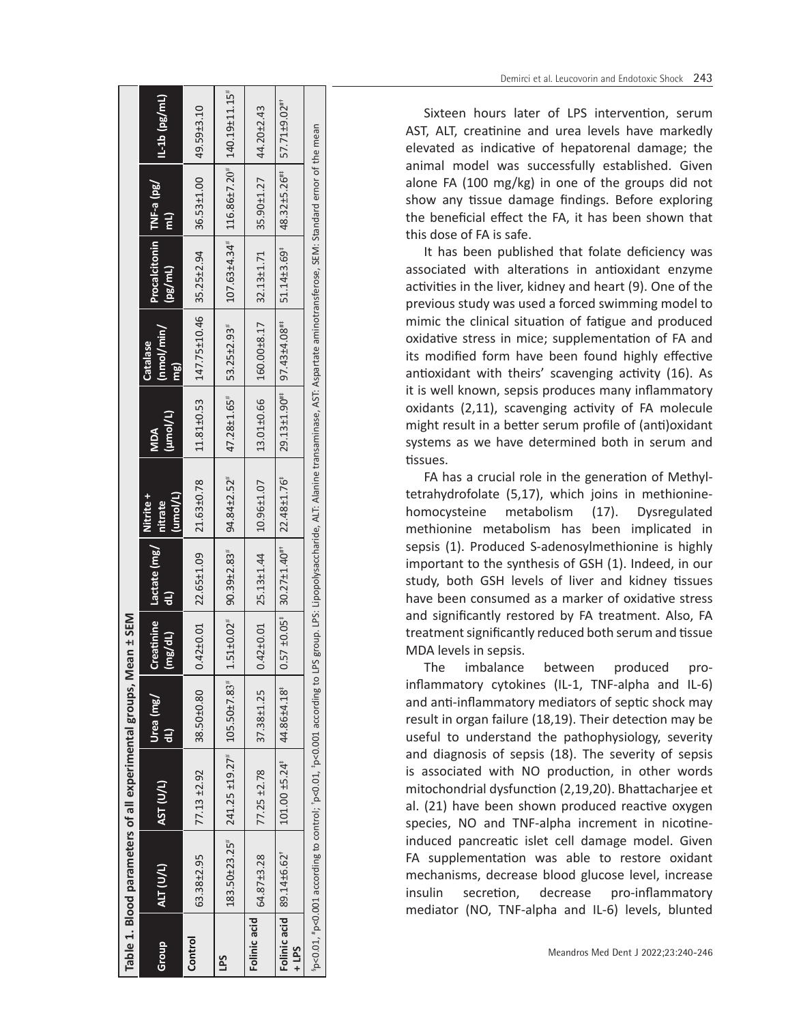|              | Table 1. Blood parameters of all experimental groups, Mean ± SEM                                                                                                                                  |                                                                                               |            |         |                                                                        |                                                 |                                                  |                                                                                             |                                                             |                                                          |                   |
|--------------|---------------------------------------------------------------------------------------------------------------------------------------------------------------------------------------------------|-----------------------------------------------------------------------------------------------|------------|---------|------------------------------------------------------------------------|-------------------------------------------------|--------------------------------------------------|---------------------------------------------------------------------------------------------|-------------------------------------------------------------|----------------------------------------------------------|-------------------|
| Group        | ALT (U/L)                                                                                                                                                                                         | AST(U/L)                                                                                      | Urea (mg/  | (mg/dL) | Creatinine Lactate (mg/<br>$\overline{\mathsf{d}}$                     | $ umol/L\rangle$<br>Nitrite +<br><b>Aftrate</b> | (µmol/L)<br><b>MDA</b>                           | (nmol/min/<br>Catalase<br>mg                                                                | Procalcitonin   TNF-a (pg/<br>(pg/ml)                       | $\overline{m}$                                           | $11 - 16$ (pg/mL) |
| Control      | 63.38±2.95                                                                                                                                                                                        | 77.13 ±2.92                                                                                   | 38.50±0.80 |         | $0.42\pm0.01$ 22.65 $\pm1.09$ 21.63 $\pm0.78$                          |                                                 |                                                  | $11.81\pm0.53$   $147.75\pm10.46$   35.25 $\pm2.94$                                         |                                                             | $ 36.53 \pm 1.00 $ 49.59 $\pm 3.10$                      |                   |
| LPS          |                                                                                                                                                                                                   | $183.50\pm 23.25$ <sup>#</sup> 241.25 $\pm 19.27$ <sup>#</sup> 105.50 $\pm 7.83$ <sup>#</sup> |            |         | $1.51\pm0.02$ <sup>#</sup>   90.39 $\pm$ 2.83 <sup>#</sup>             | $94.84 \pm 2.52$ <sup>#</sup>                   | $47.28 \pm 1.65$ # 53.25 $\pm$ 2.93 <sup>#</sup> |                                                                                             | $107.63 \pm 4.34$ $116.86 \pm 7.20$ $140.19 \pm 11.15$ $15$ |                                                          |                   |
| Folinic acid | 64.87±3.28                                                                                                                                                                                        | 77.25 ±2.78                                                                                   | 37.38±1.25 |         | $0.42\pm0.01$ 25.13 $\pm1.44$ 10.96 $\pm1.07$                          |                                                 |                                                  | 13.01±0.66   160.00±8.17   32.13±1.71                                                       |                                                             | $ 35.90 \pm 1.27 $ 44.20 $\pm$ 2.43                      |                   |
| $-1195$      | Folinic acid   89.14±6.62 <sup>+</sup>                                                                                                                                                            | $101.00 \pm 5.24$ <sup>#</sup>   44.86±4.18 <sup>#</sup>                                      |            |         | $0.57 \pm 0.05$ $\pm 30.27 \pm 1.40$ $\pm 1.22.48 \pm 1.76$ $\pm 1.76$ |                                                 |                                                  | $29.13 \pm 1.90$ <sup>##</sup> 97.43 $\pm$ 4.08 <sup>##</sup> 51.14 $\pm$ 3.69 <sup>#</sup> |                                                             | $148.32 \pm 5.26$ <sup>##</sup> 57.71±9.02 <sup>##</sup> |                   |
|              | p<0.01 p<0.001 according to control; p<0.01, p<0.001 according to LPS group. LPS: Lipopolysaccharide, ALT: Alanine transaminase, AST: Aspartate aminotransferose, SEM: Standard ernor of the mean |                                                                                               |            |         |                                                                        |                                                 |                                                  |                                                                                             |                                                             |                                                          |                   |
|              |                                                                                                                                                                                                   |                                                                                               |            |         |                                                                        |                                                 |                                                  |                                                                                             |                                                             |                                                          |                   |

Sixteen hours later of LPS intervention, serum AST, ALT, creatinine and urea levels have markedly elevated as indicative of hepatorenal damage; the animal model was successfully established. Given alone FA (100 mg/kg) in one of the groups did not show any tissue damage findings. Before exploring the beneficial effect the FA, it has been shown that this dose of FA is safe.

It has been published that folate deficiency was associated with alterations in antioxidant enzyme activities in the liver, kidney and heart (9). One of the previous study was used a forced swimming model to mimic the clinical situation of fatigue and produced oxidative stress in mice; supplementation of FA and its modified form have been found highly effective antioxidant with theirs' scavenging activity (16). As it is well known, sepsis produces many inflammatory oxidants (2,11), scavenging activity of FA molecule might result in a better serum profile of (anti)oxidant systems as we have determined both in serum and tissues.

FA has a crucial role in the generation of Methyltetrahydrofolate (5,17), which joins in methioninehomocysteine metabolism (17). Dysregulated methionine metabolism has been implicated in sepsis (1). Produced S-adenosylmethionine is highly important to the synthesis of GSH (1). Indeed, in our study, both GSH levels of liver and kidney tissues have been consumed as a marker of oxidative stress and significantly restored by FA treatment. Also, FA treatment significantly reduced both serum and tissue MDA levels in sepsis.

The imbalance between produced proinflammatory cytokines (IL-1, TNF-alpha and IL-6) and anti-inflammatory mediators of septic shock may result in organ failure (18,19). Their detection may be useful to understand the pathophysiology, severity and diagnosis of sepsis (18). The severity of sepsis is associated with NO production, in other words mitochondrial dysfunction (2,19,20). Bhattacharjee et al. (21) have been shown produced reactive oxygen species, NO and TNF-alpha increment in nicotineinduced pancreatic islet cell damage model. Given FA supplementation was able to restore oxidant mechanisms, decrease blood glucose level, increase insulin secretion, decrease pro-inflammatory mediator (NO, TNF-alpha and IL-6) levels, blunted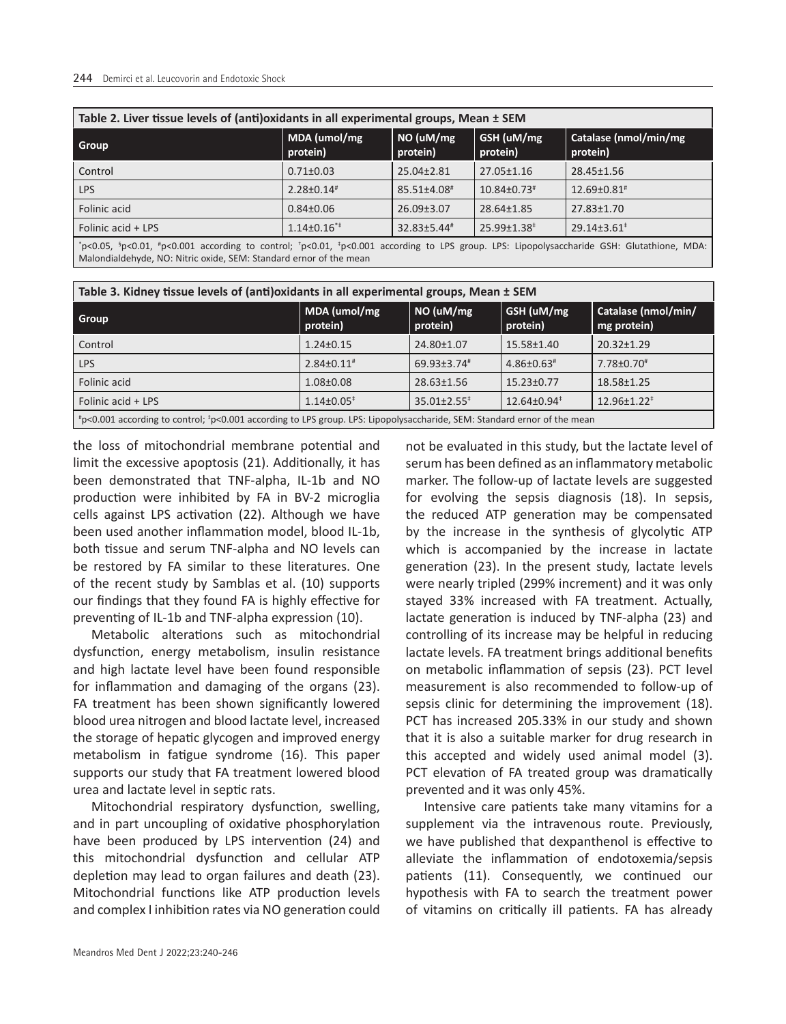| Table 2. Liver tissue levels of (anti)oxidants in all experimental groups, Mean ± SEM                                                                                                                           |                          |                               |                        |                                   |  |  |  |
|-----------------------------------------------------------------------------------------------------------------------------------------------------------------------------------------------------------------|--------------------------|-------------------------------|------------------------|-----------------------------------|--|--|--|
| Group                                                                                                                                                                                                           | MDA (umol/mg<br>protein) | NO (uM/mg<br>protein)         | GSH (uM/mg<br>protein) | Catalase (nmol/min/mg<br>protein) |  |  |  |
| Control                                                                                                                                                                                                         | $0.71 \pm 0.03$          | $25.04 \pm 2.81$              | 27.05±1.16             | 28.45±1.56                        |  |  |  |
| LPS                                                                                                                                                                                                             | $2.28 \pm 0.14$ #        | $85.51 \pm 4.08$ <sup>#</sup> | $10.84 \pm 0.73$       | $12.69 \pm 0.81$ <sup>#</sup>     |  |  |  |
| Folinic acid                                                                                                                                                                                                    | $0.84 \pm 0.06$          | $26.09 \pm 3.07$              | 28.64±1.85             | $27.83 \pm 1.70$                  |  |  |  |
| Folinic acid + LPS                                                                                                                                                                                              | $1.14\pm0.16**$          | $32.83 \pm 5.44$ <sup>#</sup> | $25.99 \pm 1.38^*$     | $29.14 \pm 3.61^*$                |  |  |  |
| *p<0.05, *p<0.01, *p<0.001 according to control; *p<0.01, *p<0.001 according to LPS group. LPS: Lipopolysaccharide GSH: Glutathione, MDA:<br>Malondialdehyde, NO: Nitric oxide, SEM: Standard ernor of the mean |                          |                               |                        |                                   |  |  |  |

| Table 3. Kidney tissue levels of (anti)oxidants in all experimental groups, Mean ± SEM                                   |                            |                       |                                              |                                    |  |  |
|--------------------------------------------------------------------------------------------------------------------------|----------------------------|-----------------------|----------------------------------------------|------------------------------------|--|--|
| Group                                                                                                                    | MDA (umol/mg<br>protein)   | NO (uM/mg<br>protein) | GSH (uM/mg<br>protein)                       | Catalase (nmol/min/<br>mg protein) |  |  |
| Control                                                                                                                  | $1.24 \pm 0.15$            | 24.80±1.07            | $15.58 \pm 1.40$                             | $20.32 \pm 1.29$                   |  |  |
| <b>LPS</b>                                                                                                               | $2.84\pm0.11$ <sup>#</sup> | $69.93 \pm 3.74$      | $4.86 \pm 0.63$                              | 7.78±0.70 <sup>#</sup>             |  |  |
| Folinic acid                                                                                                             | $1.08 \pm 0.08$            | $28.63 \pm 1.56$      | $15.23 \pm 0.77$                             | $18.58 \pm 1.25$                   |  |  |
| Folinic acid + LPS                                                                                                       | $1.14\pm0.05^*$            | $35.01 \pm 2.55^*$    | $12.64 \pm 0.94$ <sup><math>\pm</math></sup> | $12.96 \pm 1.22^*$                 |  |  |
| #p<0.001 according to control; *p<0.001 according to LPS group. LPS: Lipopolysaccharide, SEM: Standard ernor of the mean |                            |                       |                                              |                                    |  |  |

the loss of mitochondrial membrane potential and limit the excessive apoptosis (21). Additionally, it has been demonstrated that TNF-alpha, IL-1b and NO production were inhibited by FA in BV-2 microglia cells against LPS activation (22). Although we have been used another inflammation model, blood IL-1b, both tissue and serum TNF-alpha and NO levels can be restored by FA similar to these literatures. One of the recent study by Samblas et al. (10) supports our findings that they found FA is highly effective for preventing of IL-1b and TNF-alpha expression (10).

Metabolic alterations such as mitochondrial dysfunction, energy metabolism, insulin resistance and high lactate level have been found responsible for inflammation and damaging of the organs (23). FA treatment has been shown significantly lowered blood urea nitrogen and blood lactate level, increased the storage of hepatic glycogen and improved energy metabolism in fatigue syndrome (16). This paper supports our study that FA treatment lowered blood urea and lactate level in septic rats.

Mitochondrial respiratory dysfunction, swelling, and in part uncoupling of oxidative phosphorylation have been produced by LPS intervention (24) and this mitochondrial dysfunction and cellular ATP depletion may lead to organ failures and death (23). Mitochondrial functions like ATP production levels and complex I inhibition rates via NO generation could

not be evaluated in this study, but the lactate level of serum has been defined as an inflammatory metabolic marker. The follow-up of lactate levels are suggested for evolving the sepsis diagnosis (18). In sepsis, the reduced ATP generation may be compensated by the increase in the synthesis of glycolytic ATP which is accompanied by the increase in lactate generation (23). In the present study, lactate levels were nearly tripled (299% increment) and it was only stayed 33% increased with FA treatment. Actually, lactate generation is induced by TNF-alpha (23) and controlling of its increase may be helpful in reducing lactate levels. FA treatment brings additional benefits on metabolic inflammation of sepsis (23). PCT level measurement is also recommended to follow-up of sepsis clinic for determining the improvement (18). PCT has increased 205.33% in our study and shown that it is also a suitable marker for drug research in this accepted and widely used animal model (3). PCT elevation of FA treated group was dramatically prevented and it was only 45%.

Intensive care patients take many vitamins for a supplement via the intravenous route. Previously, we have published that dexpanthenol is effective to alleviate the inflammation of endotoxemia/sepsis patients (11). Consequently, we continued our hypothesis with FA to search the treatment power of vitamins on critically ill patients. FA has already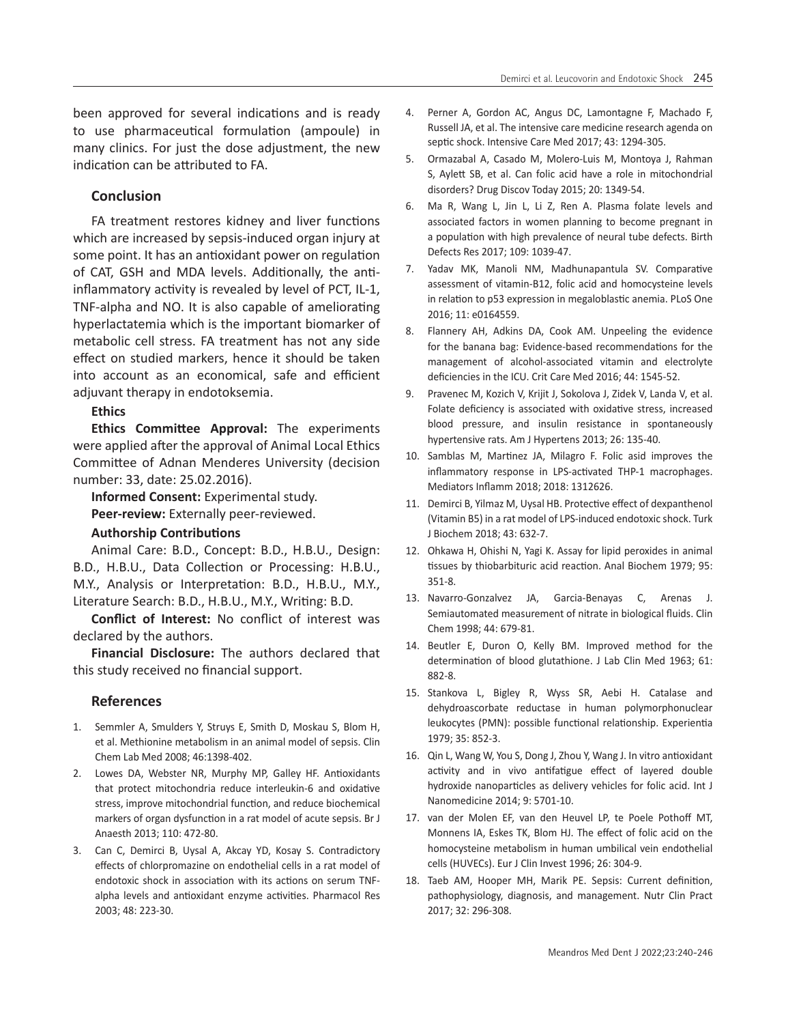been approved for several indications and is ready to use pharmaceutical formulation (ampoule) in many clinics. For just the dose adjustment, the new indication can be attributed to FA.

#### **Conclusion**

FA treatment restores kidney and liver functions which are increased by sepsis-induced organ injury at some point. It has an antioxidant power on regulation of CAT, GSH and MDA levels. Additionally, the antiinflammatory activity is revealed by level of PCT, IL-1, TNF-alpha and NO. It is also capable of ameliorating hyperlactatemia which is the important biomarker of metabolic cell stress. FA treatment has not any side effect on studied markers, hence it should be taken into account as an economical, safe and efficient adjuvant therapy in endotoksemia.

#### **Ethics**

**Ethics Committee Approval:** The experiments were applied after the approval of Animal Local Ethics Committee of Adnan Menderes University (decision number: 33, date: 25.02.2016).

**Informed Consent:** Experimental study. **Peer-review:** Externally peer-reviewed.

## **Authorship Contributions**

Animal Care: B.D., Concept: B.D., H.B.U., Design: B.D., H.B.U., Data Collection or Processing: H.B.U., M.Y., Analysis or Interpretation: B.D., H.B.U., M.Y., Literature Search: B.D., H.B.U., M.Y., Writing: B.D.

**Conflict of Interest:** No conflict of interest was declared by the authors.

**Financial Disclosure:** The authors declared that this study received no financial support.

#### **References**

- 1. Semmler A, Smulders Y, Struys E, Smith D, Moskau S, Blom H, et al. Methionine metabolism in an animal model of sepsis. Clin Chem Lab Med 2008; 46:1398-402.
- 2. Lowes DA, Webster NR, Murphy MP, Galley HF. Antioxidants that protect mitochondria reduce interleukin-6 and oxidative stress, improve mitochondrial function, and reduce biochemical markers of organ dysfunction in a rat model of acute sepsis. Br J Anaesth 2013; 110: 472-80.
- 3. Can C, Demirci B, Uysal A, Akcay YD, Kosay S. Contradictory effects of chlorpromazine on endothelial cells in a rat model of endotoxic shock in association with its actions on serum TNFalpha levels and antioxidant enzyme activities. Pharmacol Res 2003; 48: 223-30.
- 4. Perner A, Gordon AC, Angus DC, Lamontagne F, Machado F, Russell JA, et al. The intensive care medicine research agenda on septic shock. Intensive Care Med 2017; 43: 1294-305.
- 5. Ormazabal A, Casado M, Molero-Luis M, Montoya J, Rahman S, Aylett SB, et al. Can folic acid have a role in mitochondrial disorders? Drug Discov Today 2015; 20: 1349-54.
- 6. Ma R, Wang L, Jin L, Li Z, Ren A. Plasma folate levels and associated factors in women planning to become pregnant in a population with high prevalence of neural tube defects. Birth Defects Res 2017; 109: 1039-47.
- 7. Yadav MK, Manoli NM, Madhunapantula SV. Comparative assessment of vitamin-B12, folic acid and homocysteine levels in relation to p53 expression in megaloblastic anemia. PLoS One 2016; 11: e0164559.
- 8. Flannery AH, Adkins DA, Cook AM. Unpeeling the evidence for the banana bag: Evidence-based recommendations for the management of alcohol-associated vitamin and electrolyte deficiencies in the ICU. Crit Care Med 2016; 44: 1545-52.
- 9. Pravenec M, Kozich V, Krijit J, Sokolova J, Zidek V, Landa V, et al. Folate deficiency is associated with oxidative stress, increased blood pressure, and insulin resistance in spontaneously hypertensive rats. Am J Hypertens 2013; 26: 135-40.
- 10. Samblas M, Martinez JA, Milagro F. Folic asid improves the inflammatory response in LPS-activated THP-1 macrophages. Mediators Inflamm 2018; 2018: 1312626.
- 11. Demirci B, Yilmaz M, Uysal HB. Protective effect of dexpanthenol (Vitamin B5) in a rat model of LPS-induced endotoxic shock. Turk J Biochem 2018; 43: 632-7.
- 12. Ohkawa H, Ohishi N, Yagi K. Assay for lipid peroxides in animal tissues by thiobarbituric acid reaction. Anal Biochem 1979; 95: 351-8.
- 13. Navarro-Gonzalvez JA, Garcia-Benayas C, Arenas J. Semiautomated measurement of nitrate in biological fluids. Clin Chem 1998; 44: 679-81.
- 14. Beutler E, Duron O, Kelly BM. Improved method for the determination of blood glutathione. J Lab Clin Med 1963; 61: 882-8.
- 15. Stankova L, Bigley R, Wyss SR, Aebi H. Catalase and dehydroascorbate reductase in human polymorphonuclear leukocytes (PMN): possible functional relationship. Experientia 1979; 35: 852-3.
- 16. Qin L, Wang W, You S, Dong J, Zhou Y, Wang J. In vitro antioxidant activity and in vivo antifatigue effect of layered double hydroxide nanoparticles as delivery vehicles for folic acid. Int J Nanomedicine 2014; 9: 5701-10.
- 17. van der Molen EF, van den Heuvel LP, te Poele Pothoff MT, Monnens IA, Eskes TK, Blom HJ. The effect of folic acid on the homocysteine metabolism in human umbilical vein endothelial cells (HUVECs). Eur J Clin Invest 1996; 26: 304-9.
- 18. Taeb AM, Hooper MH, Marik PE. Sepsis: Current definition, pathophysiology, diagnosis, and management. Nutr Clin Pract 2017; 32: 296-308.